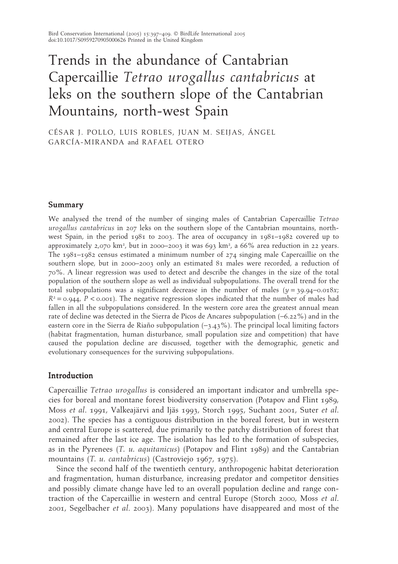# Trends in the abundance of Cantabrian Capercaillie *Tetrao urogallus cantabricus* at leks on the southern slope of the Cantabrian Mountains, north-west Spain

CÉSAR J. POLLO, LUIS ROBLES, JUAN M. SEIJAS, ÁNGEL GARCÍA-MIRANDA and RAFAEL OTERO

## Summary

We analysed the trend of the number of singing males of Cantabrian Capercaillie *Tetrao urogallus cantabricus* in 207 leks on the southern slope of the Cantabrian mountains, northwest Spain, in the period 1981 to 2003. The area of occupancy in 1981–1982 covered up to approximately 2,070 km<sup>2</sup>, but in 2000–2003 it was 693 km<sup>2</sup>, a 66% area reduction in 22 years. The 1981–1982 census estimated a minimum number of 274 singing male Capercaillie on the southern slope, but in 2000–2003 only an estimated 81 males were recorded, a reduction of 70%. A linear regression was used to detect and describe the changes in the size of the total population of the southern slope as well as individual subpopulations. The overall trend for the total subpopulations was a significant decrease in the number of males  $(y = 39.94 - 0.018x)$ ;  $R^2 = 0.944$ ,  $P < 0.001$ . The negative regression slopes indicated that the number of males had fallen in all the subpopulations considered. In the western core area the greatest annual mean rate of decline was detected in the Sierra de Picos de Ancares subpopulation (−6.22%) and in the eastern core in the Sierra de Riaño subpopulation (−3.43%). The principal local limiting factors (habitat fragmentation, human disturbance, small population size and competition) that have caused the population decline are discussed, together with the demographic, genetic and evolutionary consequences for the surviving subpopulations.

# Introduction

Capercaillie *Tetrao urogallus* is considered an important indicator and umbrella species for boreal and montane forest biodiversity conservation (Potapov and Flint 1989, Moss *et al*. 1991, Valkeajärvi and Ijäs 1993, Storch 1995, Suchant 2001, Suter *et al*. 2002). The species has a contiguous distribution in the boreal forest, but in western and central Europe is scattered, due primarily to the patchy distribution of forest that remained after the last ice age. The isolation has led to the formation of subspecies, as in the Pyrenees (*T. u. aquitanicus*) (Potapov and Flint 1989) and the Cantabrian mountains (*T. u. cantabricus*) (Castroviejo 1967, 1975).

Since the second half of the twentieth century, anthropogenic habitat deterioration and fragmentation, human disturbance, increasing predator and competitor densities and possibly climate change have led to an overall population decline and range contraction of the Capercaillie in western and central Europe (Storch 2000, Moss *et al*. 2001, Segelbacher *et al*. 2003). Many populations have disappeared and most of the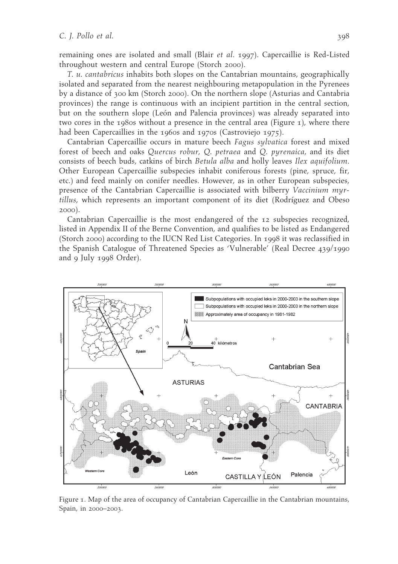remaining ones are isolated and small (Blair *et al*. 1997). Capercaillie is Red-Listed throughout western and central Europe (Storch 2000).

*T. u. cantabricus* inhabits both slopes on the Cantabrian mountains, geographically isolated and separated from the nearest neighbouring metapopulation in the Pyrenees by a distance of 300 km (Storch 2000). On the northern slope (Asturias and Cantabria provinces) the range is continuous with an incipient partition in the central section, but on the southern slope (León and Palencia provinces) was already separated into two cores in the 1980s without a presence in the central area (Figure 1), where there had been Capercaillies in the 1960s and 1970s (Castroviejo 1975).

Cantabrian Capercaillie occurs in mature beech *Fagus sylvatica* forest and mixed forest of beech and oaks *Quercus robur, Q. petraea* and *Q. pyrenaica*, and its diet consists of beech buds, catkins of birch *Betula alba* and holly leaves *Ilex aquifolium*. Other European Capercaillie subspecies inhabit coniferous forests (pine, spruce, fir, etc.) and feed mainly on conifer needles. However, as in other European subspecies, presence of the Cantabrian Capercaillie is associated with bilberry *Vaccinium myrtillus*, which represents an important component of its diet (Rodríguez and Obeso 2000).

Cantabrian Capercaillie is the most endangered of the 12 subspecies recognized, listed in Appendix II of the Berne Convention, and qualifies to be listed as Endangered (Storch 2000) according to the IUCN Red List Categories. In 1998 it was reclassified in the Spanish Catalogue of Threatened Species as 'Vulnerable' (Real Decree 439/1990 and 9 July 1998 Order).



Figure 1. Map of the area of occupancy of Cantabrian Capercaillie in the Cantabrian mountains, Spain, in 2000–2003.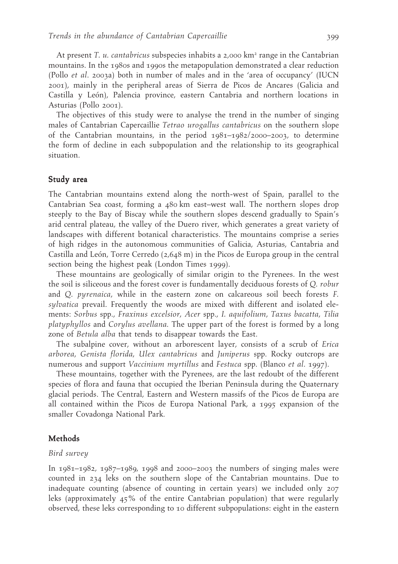At present *T. u. cantabricus* subspecies inhabits a 2,000 km<sup>2</sup> range in the Cantabrian mountains. In the 1980s and 1990s the metapopulation demonstrated a clear reduction (Pollo *et al*. 2003a) both in number of males and in the 'area of occupancy' (IUCN 2001), mainly in the peripheral areas of Sierra de Picos de Ancares (Galicia and Castilla y León), Palencia province, eastern Cantabria and northern locations in Asturias (Pollo 2001).

The objectives of this study were to analyse the trend in the number of singing males of Cantabrian Capercaillie *Tetrao urogallus cantabricus* on the southern slope of the Cantabrian mountains, in the period 1981–1982/2000–2003, to determine the form of decline in each subpopulation and the relationship to its geographical situation.

# Study area

The Cantabrian mountains extend along the north-west of Spain, parallel to the Cantabrian Sea coast, forming a 480 km east–west wall. The northern slopes drop steeply to the Bay of Biscay while the southern slopes descend gradually to Spain's arid central plateau, the valley of the Duero river, which generates a great variety of landscapes with different botanical characteristics. The mountains comprise a series of high ridges in the autonomous communities of Galicia, Asturias, Cantabria and Castilla and León, Torre Cerredo (2,648 m) in the Picos de Europa group in the central section being the highest peak (London Times 1999).

These mountains are geologically of similar origin to the Pyrenees. In the west the soil is siliceous and the forest cover is fundamentally deciduous forests of *Q. robur* and *Q. pyrenaica*, while in the eastern zone on calcareous soil beech forests *F. sylvatica* prevail. Frequently the woods are mixed with different and isolated elements: *Sorbus* spp., *Fraxinus excelsior*, *Acer* spp., *I. aquifolium*, *Taxus bacatta*, *Tilia platyphyllos* and *Corylus avellana*. The upper part of the forest is formed by a long zone of *Betula alba* that tends to disappear towards the East.

The subalpine cover, without an arborescent layer, consists of a scrub of *Erica arborea*, *Genista florida*, *Ulex cantabricus* and *Juniperus* spp. Rocky outcrops are numerous and support *Vaccinium myrtillus* and *Festuca* spp. (Blanco *et al*. 1997).

These mountains, together with the Pyrenees, are the last redoubt of the different species of flora and fauna that occupied the Iberian Peninsula during the Quaternary glacial periods. The Central, Eastern and Western massifs of the Picos de Europa are all contained within the Picos de Europa National Park, a 1995 expansion of the smaller Covadonga National Park.

# Methods

### *Bird survey*

In 1981–1982, 1987–1989, 1998 and 2000–2003 the numbers of singing males were counted in 234 leks on the southern slope of the Cantabrian mountains. Due to inadequate counting (absence of counting in certain years) we included only 207 leks (approximately 45% of the entire Cantabrian population) that were regularly observed, these leks corresponding to 10 different subpopulations: eight in the eastern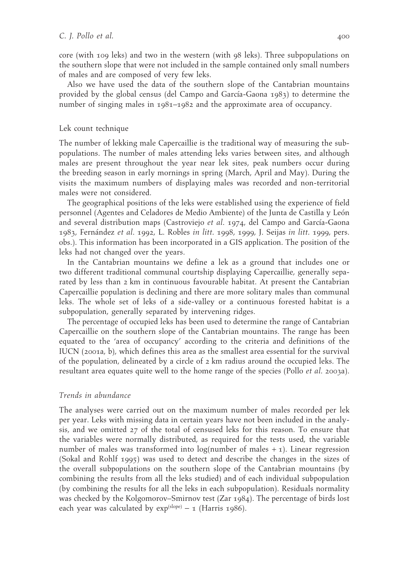core (with 109 leks) and two in the western (with 98 leks). Three subpopulations on the southern slope that were not included in the sample contained only small numbers of males and are composed of very few leks.

Also we have used the data of the southern slope of the Cantabrian mountains provided by the global census (del Campo and García-Gaona 1983) to determine the number of singing males in 1981–1982 and the approximate area of occupancy.

## Lek count technique

The number of lekking male Capercaillie is the traditional way of measuring the subpopulations. The number of males attending leks varies between sites, and although males are present throughout the year near lek sites, peak numbers occur during the breeding season in early mornings in spring (March, April and May). During the visits the maximum numbers of displaying males was recorded and non-territorial males were not considered.

The geographical positions of the leks were established using the experience of field personnel (Agentes and Celadores de Medio Ambiente) of the Junta de Castilla y León and several distribution maps (Castroviejo *et al*. 1974, del Campo and García-Gaona 1983, Fernández *et al*. 1992, L. Robles *in litt.* 1998, 1999, J. Seijas *in litt.* 1999, pers. obs.). This information has been incorporated in a GIS application. The position of the leks had not changed over the years.

In the Cantabrian mountains we define a lek as a ground that includes one or two different traditional communal courtship displaying Capercaillie, generally separated by less than 2 km in continuous favourable habitat. At present the Cantabrian Capercaillie population is declining and there are more solitary males than communal leks. The whole set of leks of a side-valley or a continuous forested habitat is a subpopulation, generally separated by intervening ridges.

The percentage of occupied leks has been used to determine the range of Cantabrian Capercaillie on the southern slope of the Cantabrian mountains. The range has been equated to the 'area of occupancy' according to the criteria and definitions of the IUCN (2001a, b), which defines this area as the smallest area essential for the survival of the population, delineated by a circle of 2 km radius around the occupied leks. The resultant area equates quite well to the home range of the species (Pollo *et al*. 2003a).

#### *Trends in abundance*

The analyses were carried out on the maximum number of males recorded per lek per year. Leks with missing data in certain years have not been included in the analysis, and we omitted 27 of the total of censused leks for this reason. To ensure that the variables were normally distributed, as required for the tests used, the variable number of males was transformed into  $log(n$ umber of males  $+ 1$ ). Linear regression (Sokal and Rohlf 1995) was used to detect and describe the changes in the sizes of the overall subpopulations on the southern slope of the Cantabrian mountains (by combining the results from all the leks studied) and of each individual subpopulation (by combining the results for all the leks in each subpopulation). Residuals normality was checked by the Kolgomorov–Smirnov test (Zar 1984). The percentage of birds lost each year was calculated by  $exp^{(slope)} - 1$  (Harris 1986).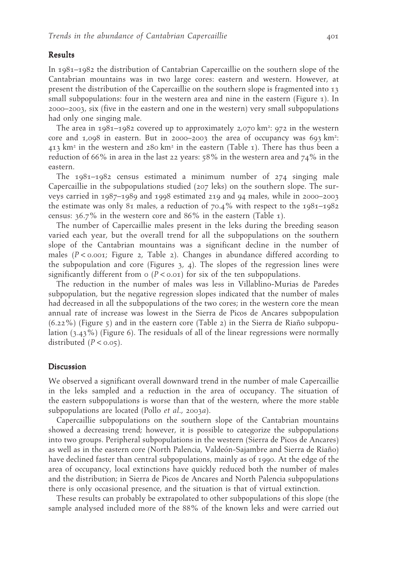#### Results

In 1981–1982 the distribution of Cantabrian Capercaillie on the southern slope of the Cantabrian mountains was in two large cores: eastern and western. However, at present the distribution of the Capercaillie on the southern slope is fragmented into 13 small subpopulations: four in the western area and nine in the eastern (Figure  $\tau$ ). In 2000–2003, six (five in the eastern and one in the western) very small subpopulations had only one singing male.

The area in 1981–1982 covered up to approximately 2,070 km²: 972 in the western core and 1,098 in eastern. But in 2000–2003 the area of occupancy was 693 km<sup>2</sup>: 413 km<sup>2</sup> in the western and 280 km<sup>2</sup> in the eastern (Table 1). There has thus been a reduction of 66% in area in the last 22 years: 58% in the western area and 74% in the eastern.

The  $1981-1982$  census estimated a minimum number of  $274$  singing male Capercaillie in the subpopulations studied (207 leks) on the southern slope. The surveys carried in 1987–1989 and 1998 estimated 219 and 94 males, while in 2000–2003 the estimate was only 81 males, a reduction of 70.4% with respect to the 1981–1982 census: 36.7% in the western core and 86% in the eastern (Table 1).

The number of Capercaillie males present in the leks during the breeding season varied each year, but the overall trend for all the subpopulations on the southern slope of the Cantabrian mountains was a significant decline in the number of males  $(P < 0.001$ ; Figure 2, Table 2). Changes in abundance differed according to the subpopulation and core (Figures  $3, 4$ ). The slopes of the regression lines were significantly different from  $\sigma$  ( $P < \sigma$ . $\sigma$ ) for six of the ten subpopulations.

The reduction in the number of males was less in Villablino-Murias de Paredes subpopulation, but the negative regression slopes indicated that the number of males had decreased in all the subpopulations of the two cores; in the western core the mean annual rate of increase was lowest in the Sierra de Picos de Ancares subpopulation  $(6.22%)$  (Figure 5) and in the eastern core (Table 2) in the Sierra de Riaño subpopulation (3.43%) (Figure 6). The residuals of all of the linear regressions were normally distributed  $(P < 0.05)$ .

## Discussion

We observed a significant overall downward trend in the number of male Capercaillie in the leks sampled and a reduction in the area of occupancy. The situation of the eastern subpopulations is worse than that of the western, where the more stable subpopulations are located (Pollo *et al*., 2003*a*).

Capercaillie subpopulations on the southern slope of the Cantabrian mountains showed a decreasing trend; however, it is possible to categorize the subpopulations into two groups. Peripheral subpopulations in the western (Sierra de Picos de Ancares) as well as in the eastern core (North Palencia, Valdeón-Sajambre and Sierra de Riaño) have declined faster than central subpopulations, mainly as of 1990. At the edge of the area of occupancy, local extinctions have quickly reduced both the number of males and the distribution; in Sierra de Picos de Ancares and North Palencia subpopulations there is only occasional presence, and the situation is that of virtual extinction.

These results can probably be extrapolated to other subpopulations of this slope (the sample analysed included more of the 88% of the known leks and were carried out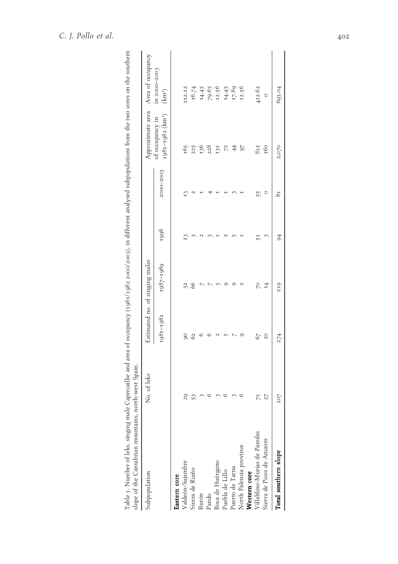| Subpopulation                | No. of leks |                 | Estimated no. of singing males |      |                | Approximate area                                | Area of occupancy                         |
|------------------------------|-------------|-----------------|--------------------------------|------|----------------|-------------------------------------------------|-------------------------------------------|
|                              |             | 1981-1982       | 1987-1989                      | 1998 | 2000-2003      | 1981-1982 (km <sup>2</sup> )<br>ot occupancy in | in 2000-2003<br>(km <sup>2</sup> )        |
| astern core                  |             |                 |                                |      |                |                                                 |                                           |
| /aldeón-Sajambre             | 20          | 8               | 32                             | 23   |                | 165                                             | 112.12                                    |
| Sierra de Riaño              |             | 62              | 66                             |      |                |                                                 |                                           |
| 3urón                        |             |                 |                                |      |                | 225<br>136                                      |                                           |
| <sup>2</sup> ando            |             |                 |                                |      |                | 228                                             | 16.74<br>14.45<br>17.96<br>17.89<br>17.95 |
| Boca de Huérgano             |             |                 |                                |      |                | 131                                             |                                           |
| Puebla de Lillo              |             |                 |                                |      |                |                                                 |                                           |
| uerto de Tarna               |             |                 |                                |      |                | $\frac{2}{7}$                                   |                                           |
| North Palencia province      |             |                 |                                |      |                | 97                                              |                                           |
| Western core                 |             |                 |                                |      |                |                                                 |                                           |
| /illablino-Murias de Paredes | H           | 67              | P.                             | 51   | 55             | 812                                             | 412.62                                    |
| Sierra de Picos de Ancares   | 27          | $\overline{20}$ | 14                             |      | 0              | 160                                             | $\circ$                                   |
| Total southern slope         | 207         | 274             | 219                            | 94   | 8 <sub>1</sub> | 2,070                                           | 693.04                                    |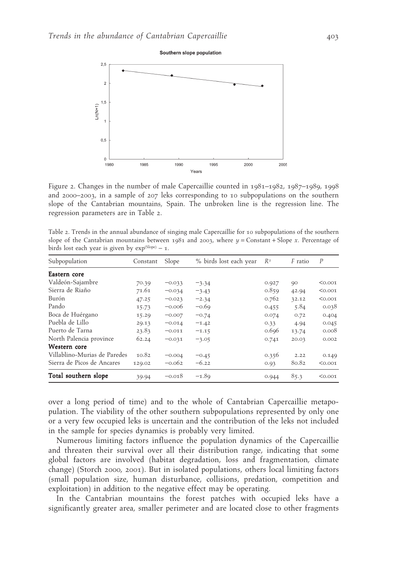

Figure 2. Changes in the number of male Capercaillie counted in 1981–1982, 1987–1989, 1998 and 2000–2003, in a sample of 207 leks corresponding to 10 subpopulations on the southern slope of the Cantabrian mountains, Spain. The unbroken line is the regression line. The regression parameters are in Table 2.

Table 2. Trends in the annual abundance of singing male Capercaillie for 10 subpopulations of the southern slope of the Cantabrian mountains between 1981 and 2003, where  $y =$ Constant + Slope *x*. Percentage of birds lost each year is given by  $exp^{(Slope)} - 1$ .

| Subpopulation                | Constant | Slope    | % birds lost each year | $R^2$ | F ratio | $\boldsymbol{P}$ |
|------------------------------|----------|----------|------------------------|-------|---------|------------------|
| Eastern core                 |          |          |                        |       |         |                  |
| Valdeón-Sajambre             | 70.39    | $-0.033$ | $-3.34$                | 0.927 | 90      | < 0.001          |
| Sierra de Riaño              | 71.61    | $-0.034$ | $-3.43$                | 0.859 | 42.94   | < 0.001          |
| Burón                        | 47.25    | $-0.023$ | $-2.34$                | 0.762 | 32.12   | < 0.001          |
| Pando                        | 15.73    | $-0.006$ | $-0.69$                | 0.455 | 5.84    | 0.038            |
| Boca de Huérgano             | 15.29    | $-0.007$ | $-0.74$                | 0.074 | 0.72    | 0.404            |
| Puebla de Lillo              | 29.13    | $-0.014$ | $-1.42$                | 0.33  | 4.94    | 0.045            |
| Puerto de Tarna              | 23.83    | $-0.011$ | $-1.15$                | 0.696 | 13.74   | 0.008            |
| North Palencia province      | 62.24    | $-0.031$ | $-3.05$                | 0.741 | 20.03   | 0.002            |
| Western core                 |          |          |                        |       |         |                  |
| Villablino-Murias de Paredes | 10.82    | $-0.004$ | $-0.45$                | 0.356 | 2.22    | 0.149            |
| Sierra de Picos de Ancares   | 129.02   | $-0.062$ | $-6.22$                | 0.93  | 80.82   | < 0.001          |
| Total southern slope         | 39.94    | $-0.018$ | $-1.89$                | 0.944 | 85.3    | < 0.001          |

over a long period of time) and to the whole of Cantabrian Capercaillie metapopulation. The viability of the other southern subpopulations represented by only one or a very few occupied leks is uncertain and the contribution of the leks not included in the sample for species dynamics is probably very limited.

Numerous limiting factors influence the population dynamics of the Capercaillie and threaten their survival over all their distribution range, indicating that some global factors are involved (habitat degradation, loss and fragmentation, climate change) (Storch 2000, 2001). But in isolated populations, others local limiting factors (small population size, human disturbance, collisions, predation, competition and exploitation) in addition to the negative effect may be operating.

In the Cantabrian mountains the forest patches with occupied leks have a significantly greater area, smaller perimeter and are located close to other fragments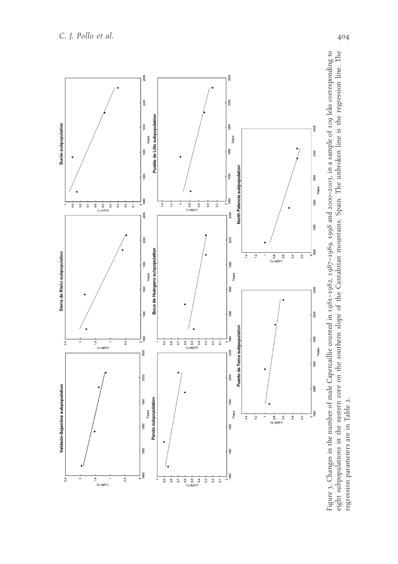

Figure 3. Changes in the number of male Capercaillie counted in 1981-1982, 1987-1989, 1998 and 2000-2003, in a sample of 109 leks corresponding to eight subpopulations in the eastern core on the southern slope of the Cantabrian mountains, Spain. The unbroken line is the regression line. The Figure 3. Changes in the number of male Capercaillie counted in 1981-1982, 1987–1989, 1998 and 2000–2003, in a sample of 109 leks corresponding to<br>eight subpopulations in the eastern core on the southern slope of the Canta regression parameters are in Table 2.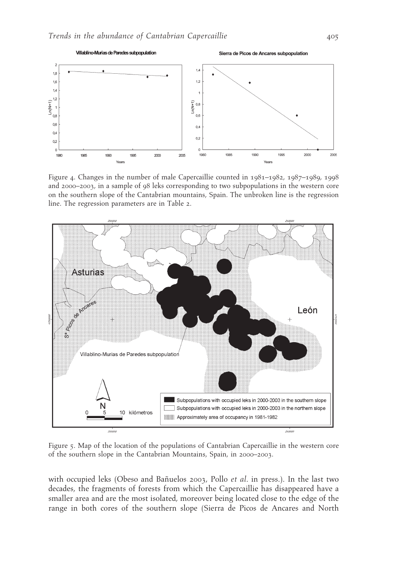

Figure 4. Changes in the number of male Capercaillie counted in 1981–1982, 1987–1989, 1998 and 2000–2003, in a sample of 98 leks corresponding to two subpopulations in the western core on the southern slope of the Cantabrian mountains, Spain. The unbroken line is the regression line. The regression parameters are in Table 2.



Figure 5. Map of the location of the populations of Cantabrian Capercaillie in the western core of the southern slope in the Cantabrian Mountains, Spain, in 2000–2003.

with occupied leks (Obeso and Bañuelos 2003, Pollo *et al*. in press.). In the last two decades, the fragments of forests from which the Capercaillie has disappeared have a smaller area and are the most isolated, moreover being located close to the edge of the range in both cores of the southern slope (Sierra de Picos de Ancares and North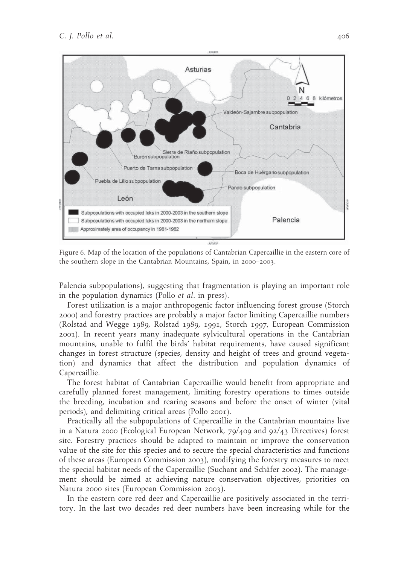

Figure 6. Map of the location of the populations of Cantabrian Capercaillie in the eastern core of the southern slope in the Cantabrian Mountains, Spain, in 2000–2003.

Palencia subpopulations), suggesting that fragmentation is playing an important role in the population dynamics (Pollo *et al*. in press).

Forest utilization is a major anthropogenic factor influencing forest grouse (Storch 2000) and forestry practices are probably a major factor limiting Capercaillie numbers (Rolstad and Wegge 1989, Rolstad 1989, 1991, Storch 1997, European Commission 2001). In recent years many inadequate sylvicultural operations in the Cantabrian mountains, unable to fulfil the birds' habitat requirements, have caused significant changes in forest structure (species, density and height of trees and ground vegetation) and dynamics that affect the distribution and population dynamics of Capercaillie.

The forest habitat of Cantabrian Capercaillie would benefit from appropriate and carefully planned forest management, limiting forestry operations to times outside the breeding, incubation and rearing seasons and before the onset of winter (vital periods), and delimiting critical areas (Pollo 2001).

Practically all the subpopulations of Capercaillie in the Cantabrian mountains live in a Natura 2000 (Ecological European Network, 79/409 and 92/43 Directives) forest site. Forestry practices should be adapted to maintain or improve the conservation value of the site for this species and to secure the special characteristics and functions of these areas (European Commission 2003), modifying the forestry measures to meet the special habitat needs of the Capercaillie (Suchant and Schäfer 2002). The management should be aimed at achieving nature conservation objectives, priorities on Natura 2000 sites (European Commission 2003).

In the eastern core red deer and Capercaillie are positively associated in the territory. In the last two decades red deer numbers have been increasing while for the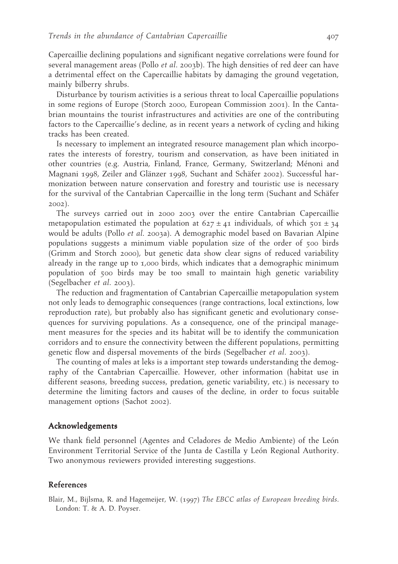Capercaillie declining populations and significant negative correlations were found for several management areas (Pollo *et al*. 2003b). The high densities of red deer can have a detrimental effect on the Capercaillie habitats by damaging the ground vegetation, mainly bilberry shrubs.

Disturbance by tourism activities is a serious threat to local Capercaillie populations in some regions of Europe (Storch 2000, European Commission 2001). In the Cantabrian mountains the tourist infrastructures and activities are one of the contributing factors to the Capercaillie's decline, as in recent years a network of cycling and hiking tracks has been created.

Is necessary to implement an integrated resource management plan which incorporates the interests of forestry, tourism and conservation, as have been initiated in other countries (e.g. Austria, Finland, France, Germany, Switzerland; Ménoni and Magnani 1998, Zeiler and Glänzer 1998, Suchant and Schäfer 2002). Successful harmonization between nature conservation and forestry and touristic use is necessary for the survival of the Cantabrian Capercaillie in the long term (Suchant and Schäfer 2002).

The surveys carried out in 2000 2003 over the entire Cantabrian Capercaillie metapopulation estimated the population at  $627 \pm 41$  individuals, of which  $501 \pm 34$ would be adults (Pollo *et al*. 2003a). A demographic model based on Bavarian Alpine populations suggests a minimum viable population size of the order of 500 birds (Grimm and Storch 2000), but genetic data show clear signs of reduced variability already in the range up to 1,000 birds, which indicates that a demographic minimum population of 500 birds may be too small to maintain high genetic variability (Segelbacher *et al*. 2003).

The reduction and fragmentation of Cantabrian Capercaillie metapopulation system not only leads to demographic consequences (range contractions, local extinctions, low reproduction rate), but probably also has significant genetic and evolutionary consequences for surviving populations. As a consequence, one of the principal management measures for the species and its habitat will be to identify the communication corridors and to ensure the connectivity between the different populations, permitting genetic flow and dispersal movements of the birds (Segelbacher *et al*. 2003).

The counting of males at leks is a important step towards understanding the demography of the Cantabrian Capercaillie. However, other information (habitat use in different seasons, breeding success, predation, genetic variability, etc.) is necessary to determine the limiting factors and causes of the decline, in order to focus suitable management options (Sachot 2002).

# Acknowledgements

We thank field personnel (Agentes and Celadores de Medio Ambiente) of the León Environment Territorial Service of the Junta de Castilla y León Regional Authority. Two anonymous reviewers provided interesting suggestions.

# References

Blair, M., Bijlsma, R. and Hagemeijer, W. (1997) *The EBCC atlas of European breeding birds*. London: T. & A. D. Poyser.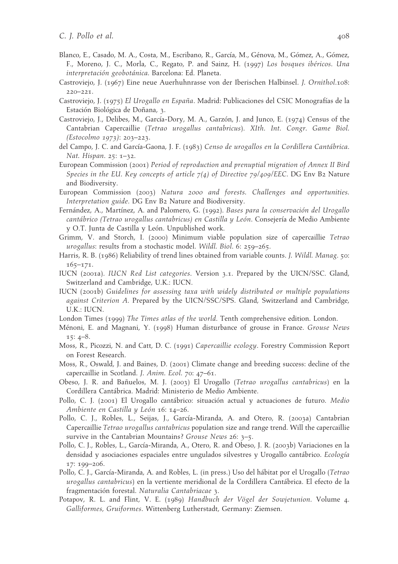- Blanco, E., Casado, M. A., Costa, M., Escribano, R., García, M., Génova, M., Gómez, A., Gómez, F., Moreno, J. C., Morla, C., Regato, P. and Sainz, H. (1997) *Los bosques ibéricos*. *Una interpretación geobotánica*. Barcelona: Ed. Planeta.
- Castroviejo, J. (1967) Eine neue Auerhuhnrasse von der Iberischen Halbinsel. *J. Ornithol*.108: 220–221.
- Castroviejo, J. (1975) *El Urogallo en España*. Madrid: Publicaciones del CSIC Monografías de la Estación Biológica de Doñana, 3.
- Castroviejo, J., Delibes, M., García-Dory, M. A., Garzón, J. and Junco, E. (1974) Census of the Cantabrian Capercaillie (*Tetrao urogallus cantabricus*). *XIth. Int. Congr. Game Biol. (Estocolmo 1973)*: 203–223.
- del Campo, J. C. and García-Gaona, J. F. (1983) *Censo de urogallos en la Cordillera Cantábrica*. *Nat. Hispan*. 25: 1–32.
- European Commission (2001) *Period of reproduction and prenuptial migration of Annex II Bird Species in the EU. Key concepts of article 7(4) of Directive 79/409/EEC*. DG Env B2 Nature and Biodiversity.
- European Commission (2003) *Natura 2000 and forests. Challenges and opportunities. Interpretation guide*. DG Env B2 Nature and Biodiversity.
- Fernández, A., Martínez, A. and Palomero, G. (1992). *Bases para la conservación del Urogallo cantábrico (Tetrao urogallus cantabricus) en Castilla y León*. Consejería de Medio Ambiente y O.T. Junta de Castilla y León. Unpublished work.
- Grimm, V. and Storch, I. (2000) Minimum viable population size of capercaillie *Tetrao urogallus*: results from a stochastic model. *Wildl. Biol*. 6: 259–265.
- Harris, R. B. (1986) Reliability of trend lines obtained from variable counts. *J. Wildl. Manag*. 50: 165–171.
- IUCN (2001a). *IUCN Red List categories*. Version 3.1. Prepared by the UICN/SSC. Gland, Switzerland and Cambridge, U.K.: IUCN.
- IUCN (2001b) *Guidelines for assessing taxa with widely distributed or multiple populations against Criterion A*. Prepared by the UICN/SSC/SPS. Gland, Switzerland and Cambridge, U.K.: IUCN.
- London Times (1999) *The Times atlas of the world*. Tenth comprehensive edition. London.
- Ménoni, E. and Magnani, Y. (1998) Human disturbance of grouse in France. *Grouse News*  $15: 4–8.$
- Moss, R., Picozzi, N. and Catt, D. C. (1991) *Capercaillie ecology*. Forestry Commission Report on Forest Research.
- Moss, R., Oswald, J. and Baines, D. (2001) Climate change and breeding success: decline of the capercaillie in Scotland. *J. Anim. Ecol*. 70: 47–61.
- Obeso, J. R. and Bañuelos, M. J. (2003) El Urogallo (*Tetrao urogallus cantabricus*) en la Cordillera Cantábrica. Madrid: Ministerio de Medio Ambiente.
- Pollo, C. J. (2001) El Urogallo cantábrico: situación actual y actuaciones de futuro. *Medio Ambiente en Castilla y León* 16: 14–26.
- Pollo, C. J., Robles, L., Seijas, J., García-Miranda, A. and Otero, R. (2003a) Cantabrian Capercaillie *Tetrao urogallus cantabricus* population size and range trend. Will the capercaillie survive in the Cantabrian Mountains? *Grouse News* 26: 3–5.
- Pollo, C. J., Robles, L., García-Miranda, A., Otero, R. and Obeso, J. R. (2003b) Variaciones en la densidad y asociaciones espaciales entre ungulados silvestres y Urogallo cantábrico. *Ecología* 17: 199–206.
- Pollo, C. J., García-Miranda, A. and Robles, L. (in press.) Uso del hábitat por el Urogallo (*Tetrao urogallus cantabricus*) en la vertiente meridional de la Cordillera Cantábrica. El efecto de la fragmentación forestal. *Naturalia Cantabriacae* 3.
- Potapov, R. L. and Flint, V. E. (1989) *Handbuch der Vögel der Sowjetunion*. Volume 4. *Galliformes, Gruiformes*. Wittenberg Lutherstadt, Germany: Ziemsen.